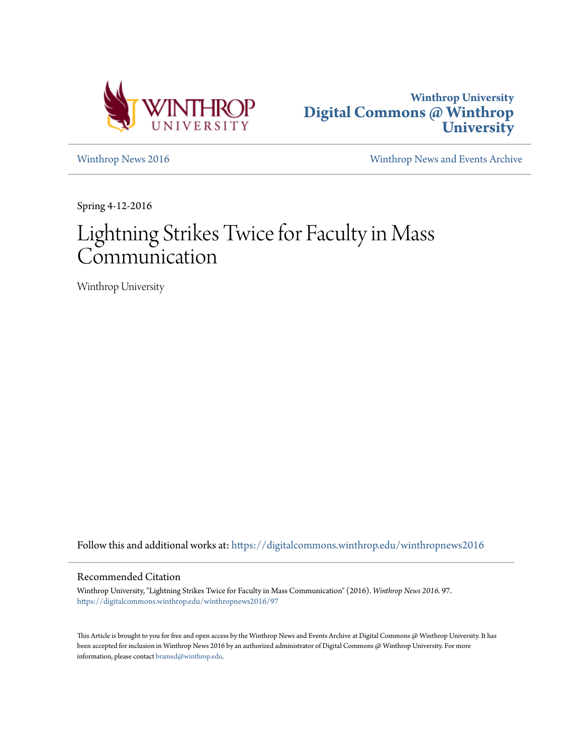



[Winthrop News 2016](https://digitalcommons.winthrop.edu/winthropnews2016?utm_source=digitalcommons.winthrop.edu%2Fwinthropnews2016%2F97&utm_medium=PDF&utm_campaign=PDFCoverPages) [Winthrop News and Events Archive](https://digitalcommons.winthrop.edu/winthropnewsarchives?utm_source=digitalcommons.winthrop.edu%2Fwinthropnews2016%2F97&utm_medium=PDF&utm_campaign=PDFCoverPages)

Spring 4-12-2016

# Lightning Strikes Twice for Faculty in Mass Communication

Winthrop University

Follow this and additional works at: [https://digitalcommons.winthrop.edu/winthropnews2016](https://digitalcommons.winthrop.edu/winthropnews2016?utm_source=digitalcommons.winthrop.edu%2Fwinthropnews2016%2F97&utm_medium=PDF&utm_campaign=PDFCoverPages)

### Recommended Citation

Winthrop University, "Lightning Strikes Twice for Faculty in Mass Communication" (2016). *Winthrop News 2016*. 97. [https://digitalcommons.winthrop.edu/winthropnews2016/97](https://digitalcommons.winthrop.edu/winthropnews2016/97?utm_source=digitalcommons.winthrop.edu%2Fwinthropnews2016%2F97&utm_medium=PDF&utm_campaign=PDFCoverPages)

This Article is brought to you for free and open access by the Winthrop News and Events Archive at Digital Commons @ Winthrop University. It has been accepted for inclusion in Winthrop News 2016 by an authorized administrator of Digital Commons @ Winthrop University. For more information, please contact [bramed@winthrop.edu](mailto:bramed@winthrop.edu).